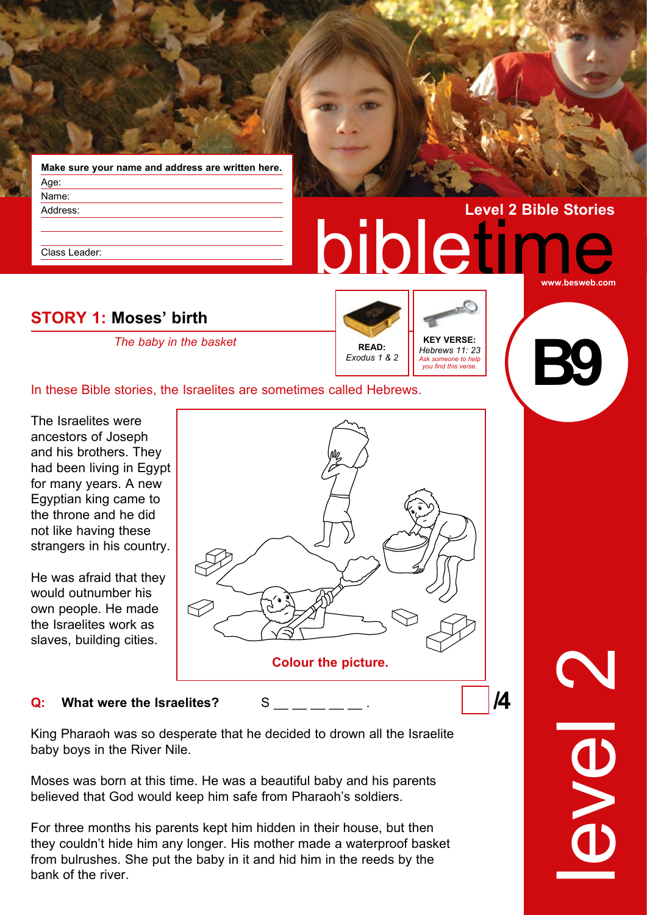|          | Make sure your name and address are written here. |  |
|----------|---------------------------------------------------|--|
| Age:     |                                                   |  |
| Name:    |                                                   |  |
| Address: |                                                   |  |

Class Leader:

# **STORY 1: Moses' birth**

*The baby in the basket* **KEY VERSE:** 

*Hebrews 11: 23 Ask someone to help you find this verse.* **READ:** *Exodus 1 & 2*

bibleti

**B9**

**www.besweb.com**

**Level 2 Bible Stories**

In these Bible stories, the Israelites are sometimes called Hebrews.

The Israelites were ancestors of Joseph and his brothers. They had been living in Egypt for many years. A new Egyptian king came to the throne and he did not like having these strangers in his country.

He was afraid that they would outnumber his own people. He made the Israelites work as slaves, building cities.



#### **Q:** What were the Israelites? S

King Pharaoh was so desperate that he decided to drown all the Israelite baby boys in the River Nile.

Moses was born at this time. He was a beautiful baby and his parents believed that God would keep him safe from Pharaoh's soldiers.

For three months his parents kept him hidden in their house, but then they couldn't hide him any longer. His mother made a waterproof basket from bulrushes. She put the baby in it and hid him in the reeds by the bank of the river.

level 2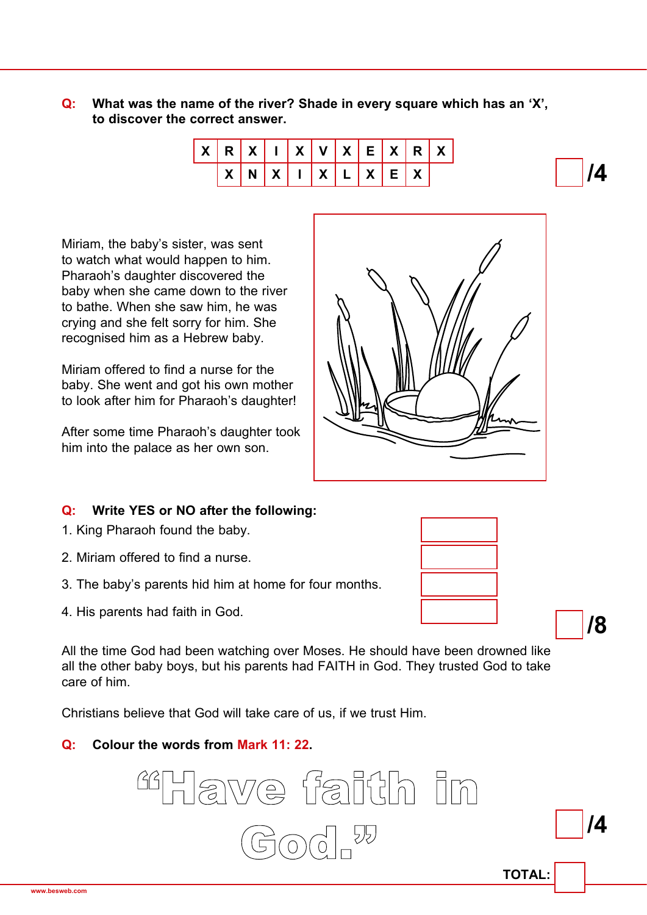#### **Q: What was the name of the river? Shade in every square which has an 'X', to discover the correct answer.**



Miriam, the baby's sister, was sent to watch what would happen to him. Pharaoh's daughter discovered the baby when she came down to the river to bathe. When she saw him, he was crying and she felt sorry for him. She recognised him as a Hebrew baby.

Miriam offered to find a nurse for the baby. She went and got his own mother to look after him for Pharaoh's daughter!

After some time Pharaoh's daughter took him into the palace as her own son.



## **Q: Write YES or NO after the following:**

- 1. King Pharaoh found the baby.
- 2. Miriam offered to find a nurse.
- 3. The baby's parents hid him at home for four months.
- 4. His parents had faith in God.

All the time God had been watching over Moses. He should have been drowned like all the other baby boys, but his parents had FAITH in God. They trusted God to take care of him.

Christians believe that God will take care of us, if we trust Him.

## **Q: Colour the words from Mark 11: 22.**





**/4** 

**TOTAL: /4**  Hawe faith in God<sup>"</sup><sub>n</sub>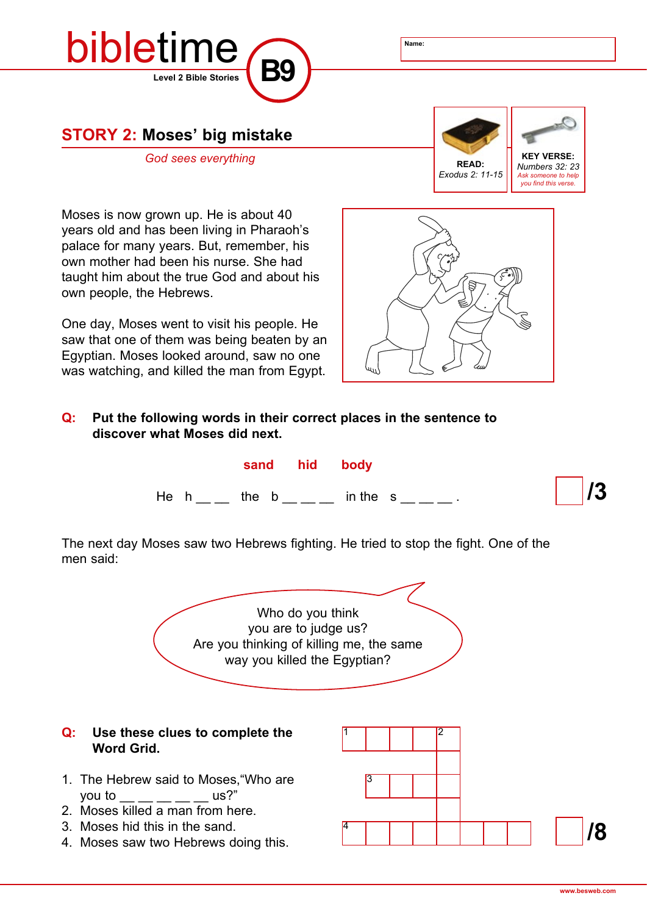

# **STORY 2: Moses' big mistake**



Moses is now grown up. He is about 40 years old and has been living in Pharaoh's palace for many years. But, remember, his own mother had been his nurse. She had taught him about the true God and about his own people, the Hebrews.

One day, Moses went to visit his people. He saw that one of them was being beaten by an Egyptian. Moses looked around, saw no one was watching, and killed the man from Egypt.



### **Q: Put the following words in their correct places in the sentence to discover what Moses did next.**



The next day Moses saw two Hebrews fighting. He tried to stop the fight. One of the men said:

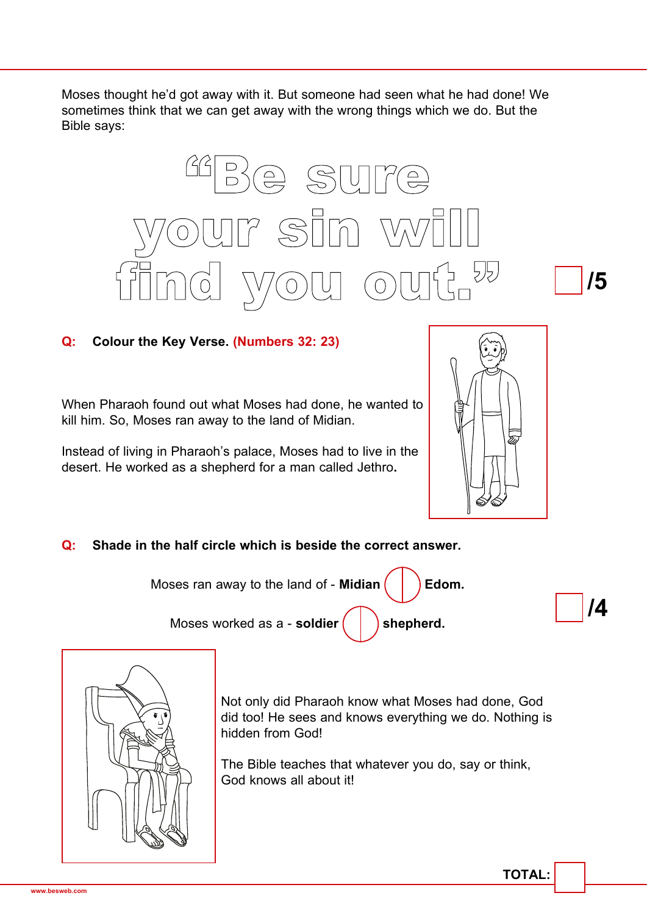Moses thought he'd got away with it. But someone had seen what he had done! We sometimes think that we can get away with the wrong things which we do. But the Bible says:



## **Q: Colour the Key Verse. (Numbers 32: 23)**

When Pharaoh found out what Moses had done, he wanted to kill him. So, Moses ran away to the land of Midian.

Instead of living in Pharaoh's palace, Moses had to live in the desert. He worked as a shepherd for a man called Jethro**.**



## **Q: Shade in the half circle which is beside the correct answer.**







Not only did Pharaoh know what Moses had done, God did too! He sees and knows everything we do. Nothing is hidden from God!

The Bible teaches that whatever you do, say or think, God knows all about it!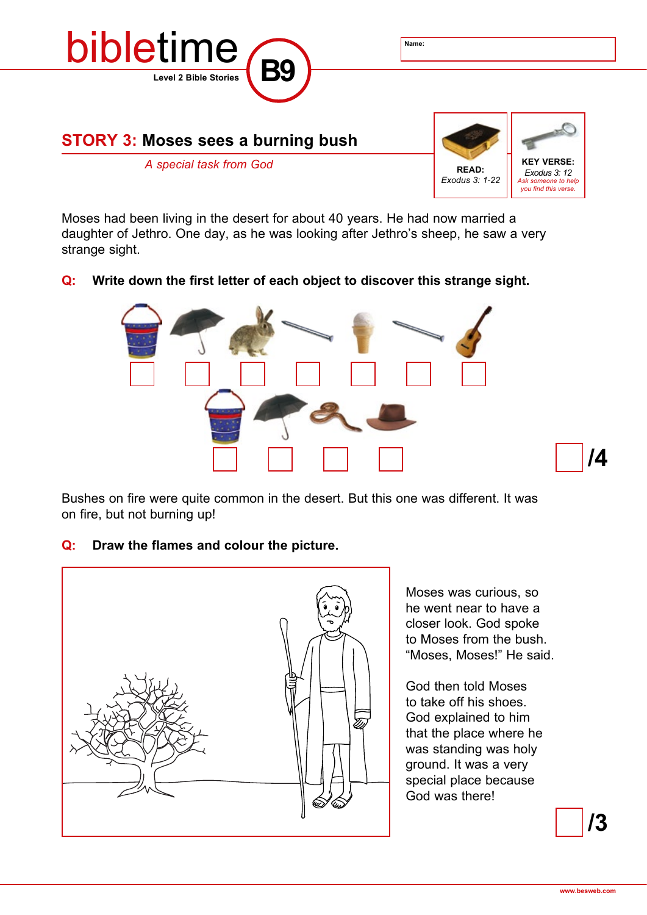

Moses had been living in the desert for about 40 years. He had now married a daughter of Jethro. One day, as he was looking after Jethro's sheep, he saw a very strange sight.

#### **Q: Write down the first letter of each object to discover this strange sight.**



Bushes on fire were quite common in the desert. But this one was different. It was on fire, but not burning up!

#### **Q: Draw the flames and colour the picture.**



Moses was curious, so he went near to have a closer look. God spoke to Moses from the bush. "Moses, Moses!" He said.

God then told Moses to take off his shoes. God explained to him that the place where he was standing was holy ground. It was a very special place because God was there!

**/3**

**/4**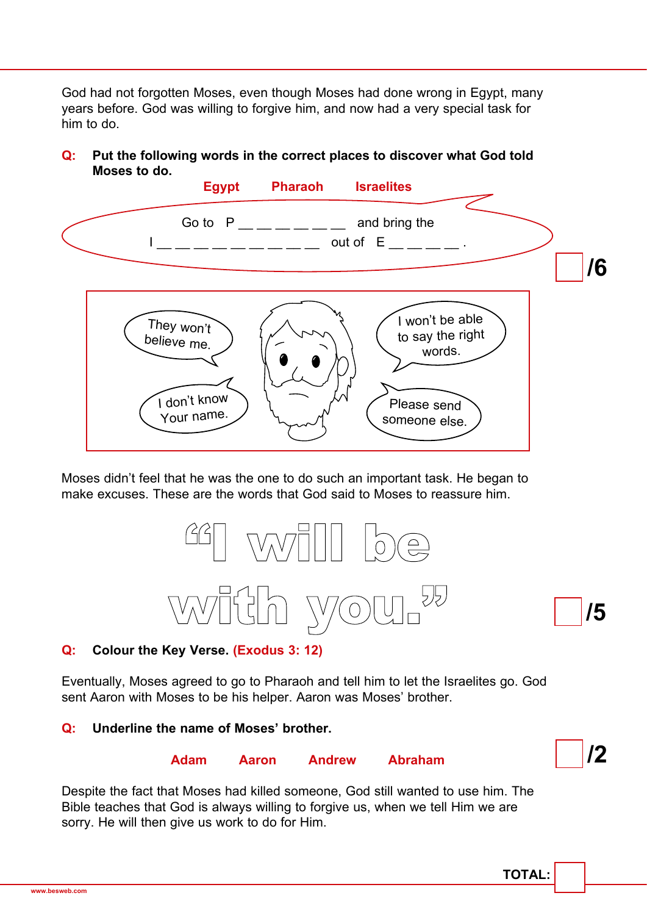God had not forgotten Moses, even though Moses had done wrong in Egypt, many years before. God was willing to forgive him, and now had a very special task for him to do.

#### **Q: Put the following words in the correct places to discover what God told Moses to do.**



Moses didn't feel that he was the one to do such an important task. He began to make excuses. These are the words that God said to Moses to reassure him.



#### **Q: Colour the Key Verse. (Exodus 3: 12)**

Eventually, Moses agreed to go to Pharaoh and tell him to let the Israelites go. God sent Aaron with Moses to be his helper. Aaron was Moses' brother.

#### **Q: Underline the name of Moses' brother.**

## **Adam Aaron Andrew Abraham**



Despite the fact that Moses had killed someone, God still wanted to use him. The Bible teaches that God is always willing to forgive us, when we tell Him we are sorry. He will then give us work to do for Him.

**TOTAL:**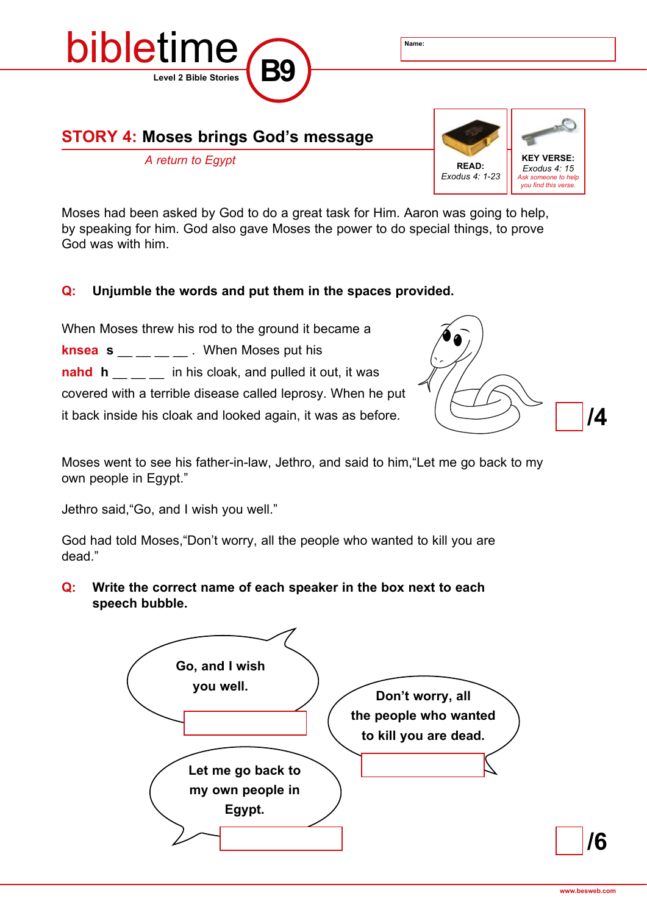

# **STORY 4: Moses brings God's message**



Moses had been asked by God to do a great task for Him. Aaron was going to help, by speaking for him. God also gave Moses the power to do special things, to prove God was with him.

#### **Q: Unjumble the words and put them in the spaces provided.**

When Moses threw his rod to the ground it became a **knsea s** \_\_ \_\_ \_\_ \_\_ . When Moses put his **nahd h** \_ \_ \_ in his cloak, and pulled it out, it was covered with a terrible disease called leprosy. When he put it back inside his cloak and looked again, it was as before.



Moses went to see his father-in-law, Jethro, and said to him,"Let me go back to my own people in Egypt."

Jethro said,"Go, and I wish you well."

God had told Moses,"Don't worry, all the people who wanted to kill you are dead."

**Q: Write the correct name of each speaker in the box next to each speech bubble.**



**/6**